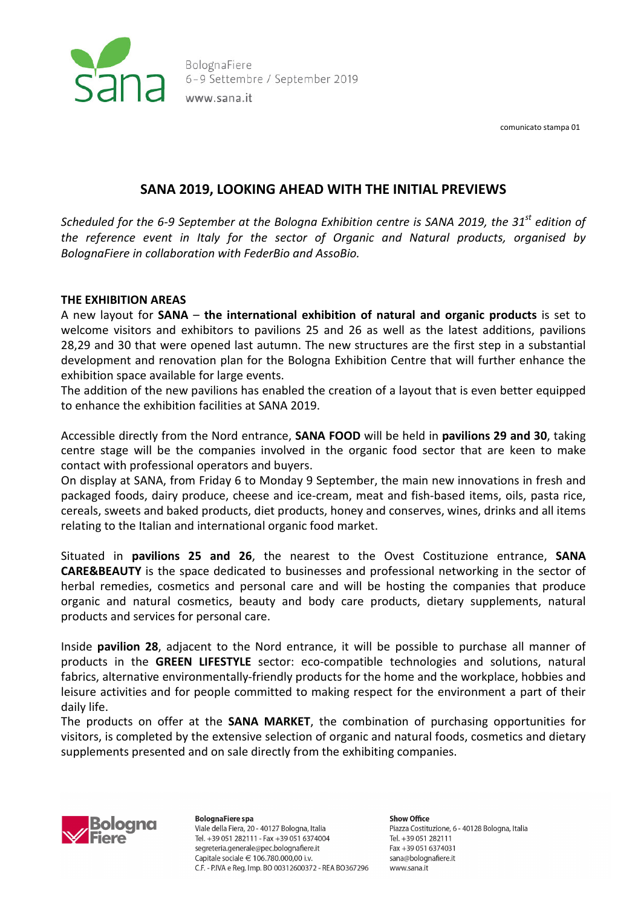

BolognaFiere 6-9 Settembre / September 2019 www.sana.it

comunicato stampa 01

# **SANA 2019, LOOKING AHEAD WITH THE INITIAL PREVIEWS**

*Scheduled for the 6-9 September at the Bologna Exhibition centre is SANA 2019, the 31st edition of the reference event in Italy for the sector of Organic and Natural products, organised by BolognaFiere in collaboration with FederBio and AssoBio.*

### **THE EXHIBITION AREAS**

A new layout for **SANA** – **the international exhibition of natural and organic products** is set to welcome visitors and exhibitors to pavilions 25 and 26 as well as the latest additions, pavilions 28,29 and 30 that were opened last autumn. The new structures are the first step in a substantial development and renovation plan for the Bologna Exhibition Centre that will further enhance the exhibition space available for large events.

The addition of the new pavilions has enabled the creation of a layout that is even better equipped to enhance the exhibition facilities at SANA 2019.

Accessible directly from the Nord entrance, **SANA FOOD** will be held in **pavilions 29 and 30**, taking centre stage will be the companies involved in the organic food sector that are keen to make contact with professional operators and buyers.

On display at SANA, from Friday 6 to Monday 9 September, the main new innovations in fresh and packaged foods, dairy produce, cheese and ice-cream, meat and fish-based items, oils, pasta rice, cereals, sweets and baked products, diet products, honey and conserves, wines, drinks and all items relating to the Italian and international organic food market.

Situated in **pavilions 25 and 26**, the nearest to the Ovest Costituzione entrance, **SANA CARE&BEAUTY** is the space dedicated to businesses and professional networking in the sector of herbal remedies, cosmetics and personal care and will be hosting the companies that produce organic and natural cosmetics, beauty and body care products, dietary supplements, natural products and services for personal care.

Inside **pavilion 28**, adjacent to the Nord entrance, it will be possible to purchase all manner of products in the **GREEN LIFESTYLE** sector: eco-compatible technologies and solutions, natural fabrics, alternative environmentally-friendly products for the home and the workplace, hobbies and leisure activities and for people committed to making respect for the environment a part of their daily life.

The products on offer at the **SANA MARKET**, the combination of purchasing opportunities for visitors, is completed by the extensive selection of organic and natural foods, cosmetics and dietary supplements presented and on sale directly from the exhibiting companies.



**BolognaFiere spa** Viale della Fiera, 20 - 40127 Bologna, Italia Tel. +39 051 282111 - Fax +39 051 6374004 segreteria.generale@pec.bolognafiere.it Capitale sociale € 106.780.000,00 i.v. C.F. - P.IVA e Reg. Imp. BO 00312600372 - REA BO367296

**Show Office** Piazza Costituzione, 6 - 40128 Bologna, Italia Tel. +39 051 282111 Fax +39 051 6374031 sana@bolognafiere.it www.sana.it